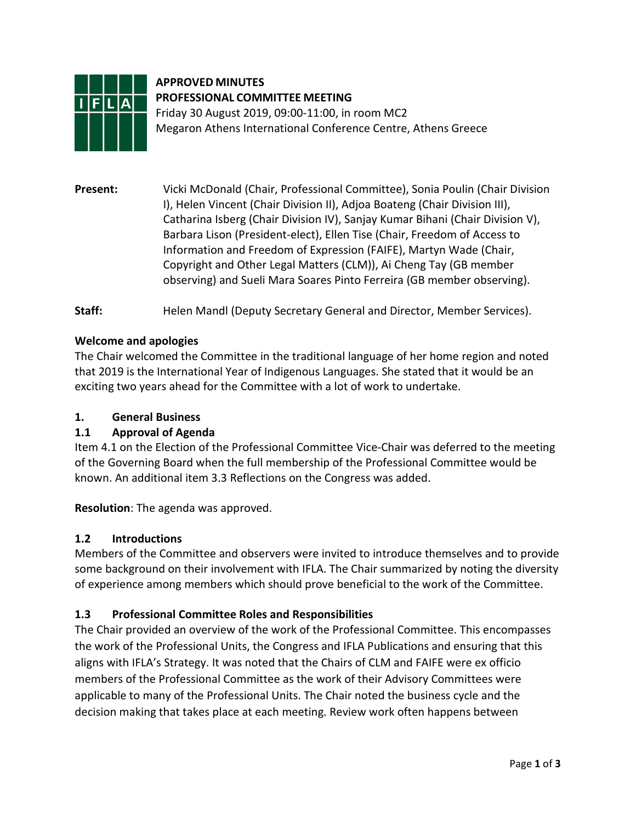

# **APPROVED MINUTES PROFESSIONAL COMMITTEE MEETING**

Friday 30 August 2019, 09:00-11:00, in room MC2 Megaron Athens International Conference Centre, Athens Greece

**Present:** Vicki McDonald (Chair, Professional Committee), Sonia Poulin (Chair Division I), Helen Vincent (Chair Division II), Adjoa Boateng (Chair Division III), Catharina Isberg (Chair Division IV), Sanjay Kumar Bihani (Chair Division V), Barbara Lison (President-elect), Ellen Tise (Chair, Freedom of Access to Information and Freedom of Expression (FAIFE), Martyn Wade (Chair, Copyright and Other Legal Matters (CLM)), Ai Cheng Tay (GB member observing) and Sueli Mara Soares Pinto Ferreira (GB member observing).

Staff: Helen Mandl (Deputy Secretary General and Director, Member Services).

## **Welcome and apologies**

The Chair welcomed the Committee in the traditional language of her home region and noted that 2019 is the International Year of Indigenous Languages. She stated that it would be an exciting two years ahead for the Committee with a lot of work to undertake.

## **1. General Business**

## **1.1 Approval of Agenda**

Item 4.1 on the Election of the Professional Committee Vice-Chair was deferred to the meeting of the Governing Board when the full membership of the Professional Committee would be known. An additional item 3.3 Reflections on the Congress was added.

**Resolution**: The agenda was approved.

## **1.2 Introductions**

Members of the Committee and observers were invited to introduce themselves and to provide some background on their involvement with IFLA. The Chair summarized by noting the diversity of experience among members which should prove beneficial to the work of the Committee.

## **1.3 Professional Committee Roles and Responsibilities**

The Chair provided an overview of the work of the Professional Committee. This encompasses the work of the Professional Units, the Congress and IFLA Publications and ensuring that this aligns with IFLA's Strategy. It was noted that the Chairs of CLM and FAIFE were ex officio members of the Professional Committee as the work of their Advisory Committees were applicable to many of the Professional Units. The Chair noted the business cycle and the decision making that takes place at each meeting. Review work often happens between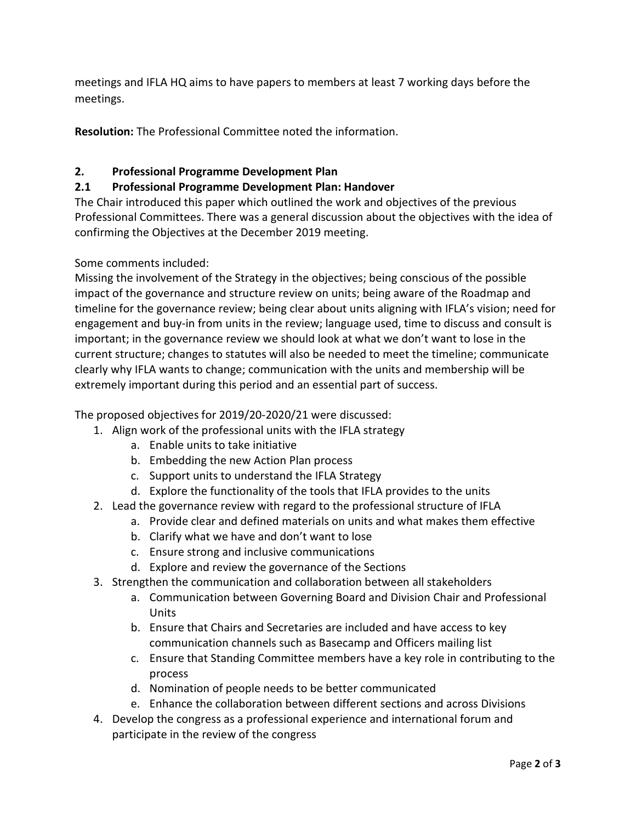meetings and IFLA HQ aims to have papers to members at least 7 working days before the meetings.

**Resolution:** The Professional Committee noted the information.

## **2. Professional Programme Development Plan**

## **2.1 Professional Programme Development Plan: Handover**

The Chair introduced this paper which outlined the work and objectives of the previous Professional Committees. There was a general discussion about the objectives with the idea of confirming the Objectives at the December 2019 meeting.

Some comments included:

Missing the involvement of the Strategy in the objectives; being conscious of the possible impact of the governance and structure review on units; being aware of the Roadmap and timeline for the governance review; being clear about units aligning with IFLA's vision; need for engagement and buy-in from units in the review; language used, time to discuss and consult is important; in the governance review we should look at what we don't want to lose in the current structure; changes to statutes will also be needed to meet the timeline; communicate clearly why IFLA wants to change; communication with the units and membership will be extremely important during this period and an essential part of success.

The proposed objectives for 2019/20-2020/21 were discussed:

- 1. Align work of the professional units with the IFLA strategy
	- a. Enable units to take initiative
	- b. Embedding the new Action Plan process
	- c. Support units to understand the IFLA Strategy
	- d. Explore the functionality of the tools that IFLA provides to the units
- 2. Lead the governance review with regard to the professional structure of IFLA
	- a. Provide clear and defined materials on units and what makes them effective
	- b. Clarify what we have and don't want to lose
	- c. Ensure strong and inclusive communications
	- d. Explore and review the governance of the Sections
- 3. Strengthen the communication and collaboration between all stakeholders
	- a. Communication between Governing Board and Division Chair and Professional Units
	- b. Ensure that Chairs and Secretaries are included and have access to key communication channels such as Basecamp and Officers mailing list
	- c. Ensure that Standing Committee members have a key role in contributing to the process
	- d. Nomination of people needs to be better communicated
	- e. Enhance the collaboration between different sections and across Divisions
- 4. Develop the congress as a professional experience and international forum and participate in the review of the congress